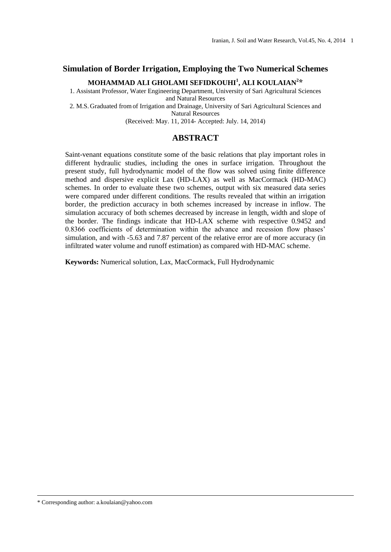#### **Simulation of Border Irrigation, Employing the Two Numerical Schemes**

#### **MOHAMMAD ALI GHOLAMI SEFIDKOUHI<sup>1</sup> , ALI KOULAIAN<sup>2</sup> \***

1. Assistant Professor, Water Engineering Department, University of Sari Agricultural Sciences and Natural Resources

2. M.S. Graduated fromof Irrigation and Drainage, University of Sari Agricultural Sciences and Natural Resources

(Received: May. 11, 2014- Accepted: July. 14, 2014)

### **ABSTRACT**

Saint-venant equations constitute some of the basic relations that play important roles in different hydraulic studies, including the ones in surface irrigation. Throughout the present study, full hydrodynamic model of the flow was solved using finite difference method and dispersive explicit Lax (HD-LAX) as well as MacCormack (HD-MAC) schemes. In order to evaluate these two schemes, output with six measured data series were compared under different conditions. The results revealed that within an irrigation border, the prediction accuracy in both schemes increased by increase in inflow. The simulation accuracy of both schemes decreased by increase in length, width and slope of the border. The findings indicate that HD-LAX scheme with respective 0.9452 and 0.8366 coefficients of determination within the advance and recession flow phases' simulation, and with -5.63 and 7.87 percent of the relative error are of more accuracy (in infiltrated water volume and runoff estimation) as compared with HD-MAC scheme.

**Keywords:** Numerical solution, Lax, MacCormack, Full Hydrodynamic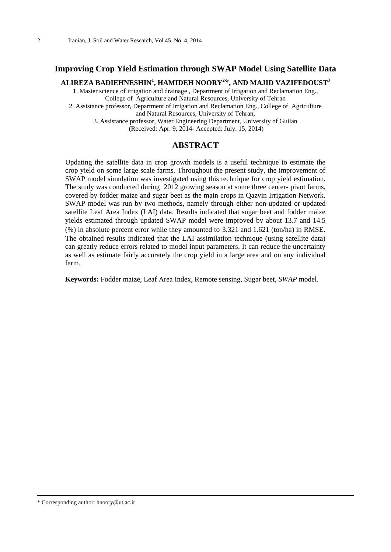## **Improving Crop Yield Estimation through SWAP Model Using Satellite Data**

**ALIREZA BADIEHNESHIN<sup>1</sup> , HAMIDEH NOORY<sup>2</sup> \*, AND MAJID VAZIFEDOUST<sup>3</sup>**

1. Master science of irrigation and drainage , Department of Irrigation and Reclamation Eng., College of Agriculture and Natural Resources, University of Tehran

2. Assistance professor, Department of Irrigation and Reclamation Eng., College of Agriculture and Natural Resources, University of Tehran,

3. Assistance professor, Water Engineering Department, University of Guilan (Received: Apr. 9, 2014- Accepted: July. 15, 2014)

#### **ABSTRACT**

Updating the satellite data in crop growth models is a useful technique to estimate the crop yield on some large scale farms. Throughout the present study, the improvement of SWAP model simulation was investigated using this technique for crop yield estimation. The study was conducted during 2012 growing season at some three center- pivot farms, covered by fodder maize and sugar beet as the main crops in Qazvin Irrigation Network. SWAP model was run by two methods, namely through either non-updated or updated satellite Leaf Area Index (LAI) data. Results indicated that sugar beet and fodder maize yields estimated through updated SWAP model were improved by about 13.7 and 14.5 (%) in absolute percent error while they amounted to 3.321 and 1.621 (ton/ha) in RMSE. The obtained results indicated that the LAI assimilation technique (using satellite data) can greatly reduce errors related to model input parameters. It can reduce the uncertainty as well as estimate fairly accurately the crop yield in a large area and on any individual farm.

**Keywords:** Fodder maize, Leaf Area Index, Remote sensing, Sugar beet, *SWAP* model.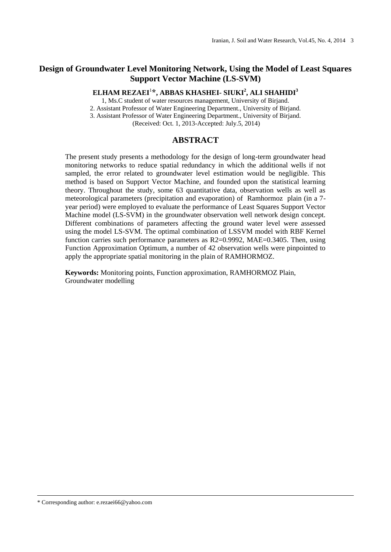# **Design of Groundwater Level Monitoring Network, Using the Model of Least Squares Support Vector Machine (LS-SVM)**

## **ELHAM REZAEI**<sup>1</sup> **\*, ABBAS KHASHEI- SIUKI<sup>2</sup> , ALI SHAHIDI<sup>3</sup>**

1, Ms.C student of water resources management, University of Birjand.

2. Assistant Professor of Water Engineering Department., University of Birjand.

3. Assistant Professor of Water Engineering Department., University of Birjand.

(Received: Oct. 1, 2013-Accepted: July.5, 2014)

### **ABSTRACT**

The present study presents a methodology for the design of long-term groundwater head monitoring networks to reduce spatial redundancy in which the additional wells if not sampled, the error related to groundwater level estimation would be negligible. This method is based on Support Vector Machine, and founded upon the statistical learning theory. Throughout the study, some 63 quantitative data, observation wells as well as meteorological parameters (precipitation and evaporation) of Ramhormoz plain (in a 7 year period) were employed to evaluate the performance of Least Squares Support Vector Machine model (LS-SVM) in the groundwater observation well network design concept. Different combinations of parameters affecting the ground water level were assessed using the model LS-SVM. The optimal combination of LSSVM model with RBF Kernel function carries such performance parameters as R2=0.9992, MAE=0.3405. Then, using Function Approximation Optimum, a number of 42 observation wells were pinpointed to apply the appropriate spatial monitoring in the plain of RAMHORMOZ.

**Keywords:** Monitoring points, Function approximation, RAMHORMOZ Plain, Groundwater modelling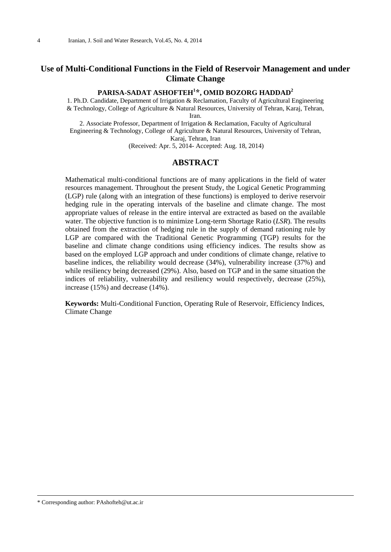## **Use of Multi-Conditional Functions in the Field of Reservoir Management and under Climate Change**

#### **PARISA-SADAT ASHOFTEH<sup>1</sup> \*, OMID BOZORG HADDAD<sup>2</sup>**

1. Ph.D. Candidate, Department of Irrigation & Reclamation, Faculty of Agricultural Engineering & Technology, College of Agriculture & Natural Resources, University of Tehran, Karaj, Tehran, Iran.

2. Associate Professor, Department of Irrigation & Reclamation, Faculty of Agricultural Engineering & Technology, College of Agriculture & Natural Resources, University of Tehran, Karaj, Tehran, Iran

(Received: Apr. 5, 2014- Accepted: Aug. 18, 2014)

### **ABSTRACT**

Mathematical multi-conditional functions are of many applications in the field of water resources management. Throughout the present Study, the Logical Genetic Programming (LGP) rule (along with an integration of these functions) is employed to derive reservoir hedging rule in the operating intervals of the baseline and climate change. The most appropriate values of release in the entire interval are extracted as based on the available water. The objective function is to minimize Long-term Shortage Ratio (*LSR*). The results obtained from the extraction of hedging rule in the supply of demand rationing rule by LGP are compared with the Traditional Genetic Programming (TGP) results for the baseline and climate change conditions using efficiency indices. The results show as based on the employed LGP approach and under conditions of climate change, relative to baseline indices, the reliability would decrease (34%), vulnerability increase (37%) and while resiliency being decreased (29%). Also, based on TGP and in the same situation the indices of reliability, vulnerability and resiliency would respectively, decrease (25%), increase (15%) and decrease (14%).

**Keywords:** Multi-Conditional Function, Operating Rule of Reservoir, Efficiency Indices, Climate Change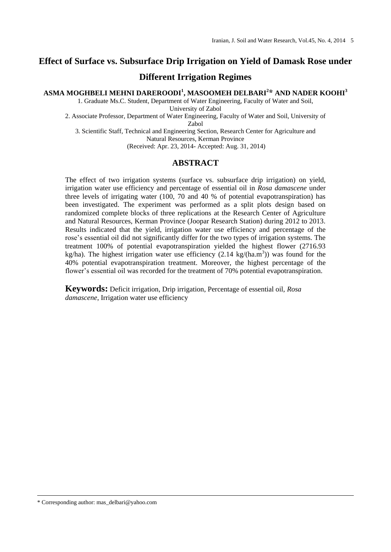# **Effect of Surface vs. Subsurface Drip Irrigation on Yield of Damask Rose under**

**Different Irrigation Regimes**

**ASMA MOGHBELI MEHNI DAREROODI<sup>1</sup> , MASOOMEH DELBARI<sup>2</sup> \* AND NADER KOOHI<sup>3</sup>**

1. Graduate Ms.C. Student, Department of Water Engineering, Faculty of Water and Soil, University of Zabol

2. Associate Professor, Department of Water Engineering, Faculty of Water and Soil, University of Zabol

3. Scientific Staff, Technical and Engineering Section, Research Center for Agriculture and Natural Resources, Kerman Province (Received: Apr. 23, 2014- Accepted: Aug. 31, 2014)

### **ABSTRACT**

The effect of two irrigation systems (surface vs. subsurface drip irrigation) on yield, irrigation water use efficiency and percentage of essential oil in *Rosa damascene* under three levels of irrigating water (100, 70 and 40 % of potential evapotranspiration) has been investigated. The experiment was performed as a split plots design based on randomized complete blocks of three replications at the Research Center of Agriculture and Natural Resources, Kerman Province (Joopar Research Station) during 2012 to 2013. Results indicated that the yield, irrigation water use efficiency and percentage of the rose's essential oil did not significantly differ for the two types of irrigation systems. The treatment 100% of potential evapotranspiration yielded the highest flower (2716.93 kg/ha). The highest irrigation water use efficiency  $(2.14 \text{ kg/(ha.m}^3))$  was found for the 40% potential evapotranspiration treatment. Moreover, the highest percentage of the flower's essential oil was recorded for the treatment of 70% potential evapotranspiration.

**Keywords:** Deficit irrigation, Drip irrigation, Percentage of essential oil, *Rosa damascene*, Irrigation water use efficiency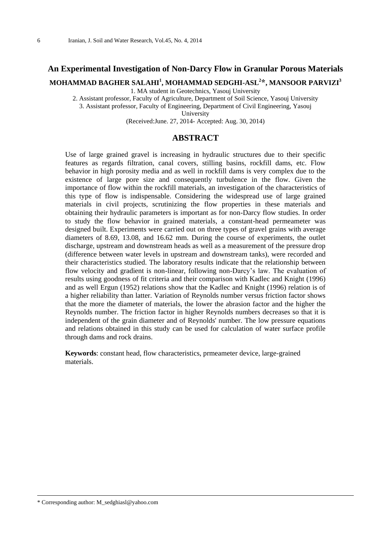### **An Experimental Investigation of Non-Darcy Flow in Granular Porous Materials**

**MOHAMMAD BAGHER SALAHI<sup>1</sup> , MOHAMMAD SEDGHI-ASL<sup>2</sup> \*, MANSOOR PARVIZI<sup>3</sup>**

1. MA student in Geotechnics, Yasouj University

2. Assistant professor, Faculty of Agriculture, Department of Soil Science, Yasouj University 3. Assistant professor, Faculty of Engineering, Department of Civil Engineering, Yasouj

University

(Received:June. 27, 2014- Accepted: Aug. 30, 2014)

### **ABSTRACT**

Use of large grained gravel is increasing in hydraulic structures due to their specific features as regards filtration, canal covers, stilling basins, rockfill dams, etc. Flow behavior in high porosity media and as well in rockfill dams is very complex due to the existence of large pore size and consequently turbulence in the flow. Given the importance of flow within the rockfill materials, an investigation of the characteristics of this type of flow is indispensable. Considering the widespread use of large grained materials in civil projects, scrutinizing the flow properties in these materials and obtaining their hydraulic parameters is important as for non-Darcy flow studies. In order to study the flow behavior in grained materials, a constant-head permeameter was designed built. Experiments were carried out on three types of gravel grains with average diameters of 8.69, 13.08, and 16.62 mm. During the course of experiments, the outlet discharge, upstream and downstream heads as well as a measurement of the pressure drop (difference between water levels in upstream and downstream tanks), were recorded and their characteristics studied. The laboratory results indicate that the relationship between flow velocity and gradient is non-linear, following non-Darcy's law. The evaluation of results using goodness of fit criteria and their comparison with Kadlec and Knight (1996) and as well Ergun (1952) relations show that the Kadlec and Knight (1996) relation is of a higher reliability than latter. Variation of Reynolds number versus friction factor shows that the more the diameter of materials, the lower the abrasion factor and the higher the Reynolds number. The friction factor in higher Reynolds numbers decreases so that it is independent of the grain diameter and of Reynolds' number. The low pressure equations and relations obtained in this study can be used for calculation of water surface profile through dams and rock drains.

**Keywords**: constant head, flow characteristics, prmeameter device, large-grained materials.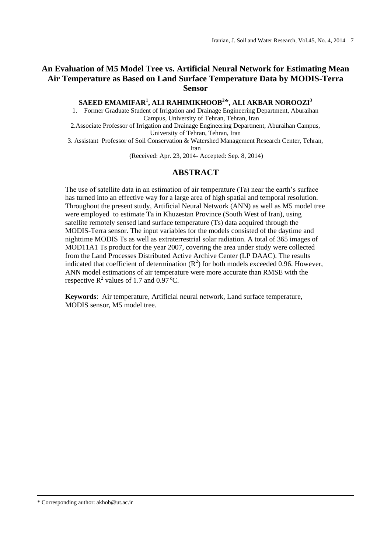## **An Evaluation of M5 Model Tree vs. Artificial Neural Network for Estimating Mean Air Temperature as Based on Land Surface Temperature Data by MODIS-Terra Sensor**

**SAEED EMAMIFAR<sup>1</sup> , ALI RAHIMIKHOOB<sup>2</sup> \*, ALI AKBAR NOROOZI<sup>3</sup>**

1. Former Graduate Student of Irrigation and Drainage Engineering Department, Aburaihan Campus, University of Tehran, Tehran, Iran

2.Associate Professor of Irrigation and Drainage Engineering Department, Aburaihan Campus, University of Tehran, Tehran, Iran

3. Assistant Professor of Soil Conservation & Watershed Management Research Center, Tehran, Iran

(Received: Apr. 23, 2014- Accepted: Sep. 8, 2014)

### **ABSTRACT**

The use of satellite data in an estimation of air temperature (Ta) near the earth's surface has turned into an effective way for a large area of high spatial and temporal resolution. Throughout the present study, Artificial Neural Network (ANN) as well as M5 model tree were employed to estimate Ta in Khuzestan Province (South West of Iran), using satellite remotely sensed land surface temperature (Ts) data acquired through the MODIS-Terra sensor. The input variables for the models consisted of the daytime and nighttime MODIS Ts as well as extraterrestrial solar radiation. A total of 365 images of MOD11A1 Ts product for the year 2007, covering the area under study were collected from the Land Processes Distributed Active Archive Center (LP DAAC). The results indicated that coefficient of determination  $(R^2)$  for both models exceeded 0.96. However, ANN model estimations of air temperature were more accurate than RMSE with the respective  $\mathbb{R}^2$  values of 1.7 and 0.97 °C.

**Keywords**: Air temperature, Artificial neural network, Land surface temperature, MODIS sensor, M5 model tree.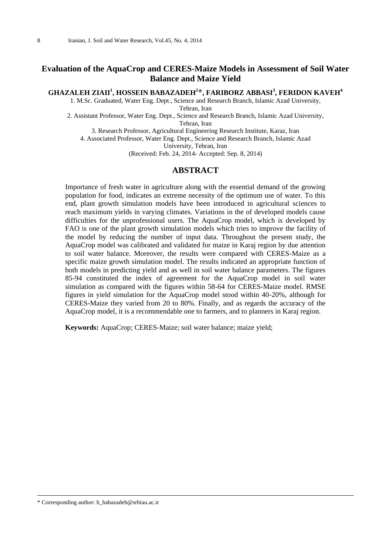## **Evaluation of the AquaCrop and CERES-Maize Models in Assessment of Soil Water Balance and Maize Yield**

#### **GHAZALEH ZIAII<sup>1</sup> , HOSSEIN BABAZADEH<sup>2</sup> \*, FARIBORZ ABBASI<sup>3</sup> , FERIDON KAVEH<sup>4</sup>**

1. M.Sc. Graduated, Water Eng. Dept., Science and Research Branch, Islamic Azad University, Tehran, Iran

2. Assistant Professor, Water Eng. Dept., Science and Research Branch, Islamic Azad University, Tehran, Iran

3. Research Professor, Agricultural Engineering Research Institute, Karaz, Iran

4. Associated Professor, Water Eng. Dept., Science and Research Branch, Islamic Azad

University, Tehran, Iran

(Received: Feb. 24, 2014- Accepted: Sep. 8, 2014)

### **ABSTRACT**

Importance of fresh water in agriculture along with the essential demand of the growing population for food, indicates an extreme necessity of the optimum use of water. To this end, plant growth simulation models have been introduced in agricultural sciences to reach maximum yields in varying climates. Variations in the of developed models cause difficulties for the unprofessional users. The AquaCrop model, which is developed by FAO is one of the plant growth simulation models which tries to improve the facility of the model by reducing the number of input data. Throughout the present study, the AquaCrop model was calibrated and validated for maize in Karaj region by due attention to soil water balance. Moreover, the results were compared with CERES-Maize as a specific maize growth simulation model. The results indicated an appropriate function of both models in predicting yield and as well in soil water balance parameters. The figures 85-94 constituted the index of agreement for the AquaCrop model in soil water simulation as compared with the figures within 58-64 for CERES-Maize model. RMSE figures in yield simulation for the AquaCrop model stood within 40-20%, although for CERES-Maize they varied from 20 to 80%. Finally, and as regards the accuracy of the AquaCrop model, it is a recommendable one to farmers, and to planners in Karaj region.

**Keywords:** AquaCrop; CERES-Maize; soil water balance; maize yield;

\* Corresponding author: h\_babazadeh@srbiau.ac.ir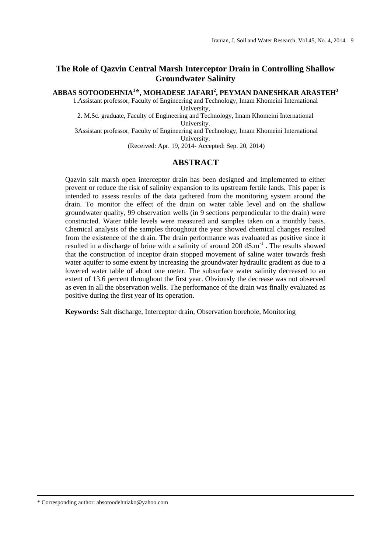## **The Role of Qazvin Central Marsh Interceptor Drain in Controlling Shallow Groundwater Salinity**

#### **ABBAS SOTOODEHNIA<sup>1</sup> \*, MOHADESE JAFARI<sup>2</sup> , PEYMAN DANESHKAR ARASTEH<sup>3</sup>**

1.Assistant professor, Faculty of Engineering and Technology, Imam Khomeini International University,

2. M.Sc. graduate, Faculty of Engineering and Technology, Imam Khomeini International University.

3Assistant professor, Faculty of Engineering and Technology, Imam Khomeini International University.

(Received: Apr. 19, 2014- Accepted: Sep. 20, 2014)

### **ABSTRACT**

Qazvin salt marsh open interceptor drain has been designed and implemented to either prevent or reduce the risk of salinity expansion to its upstream fertile lands. This paper is intended to assess results of the data gathered from the monitoring system around the drain. To monitor the effect of the drain on water table level and on the shallow groundwater quality, 99 observation wells (in 9 sections perpendicular to the drain) were constructed. Water table levels were measured and samples taken on a monthly basis. Chemical analysis of the samples throughout the year showed chemical changes resulted from the existence of the drain. The drain performance was evaluated as positive since it resulted in a discharge of brine with a salinity of around  $200 \text{ dS.m}^{-1}$ . The results showed that the construction of inceptor drain stopped movement of saline water towards fresh water aquifer to some extent by increasing the groundwater hydraulic gradient as due to a lowered water table of about one meter. The subsurface water salinity decreased to an extent of 13.6 percent throughout the first year. Obviously the decrease was not observed as even in all the observation wells. The performance of the drain was finally evaluated as positive during the first year of its operation.

**Keywords:** Salt discharge, Interceptor drain, Observation borehole, Monitoring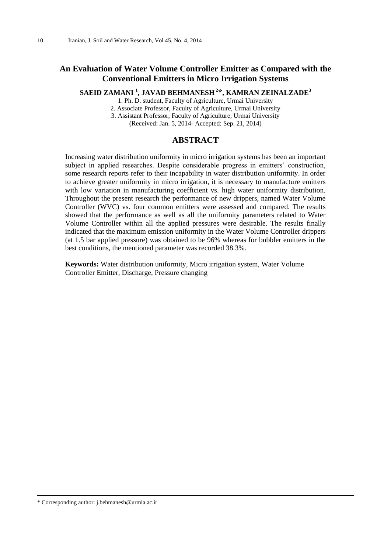## **An Evaluation of Water Volume Controller Emitter as Compared with the Conventional Emitters in Micro Irrigation Systems**

#### **SAEID ZAMANI <sup>1</sup> , JAVAD BEHMANESH <sup>2</sup> \*, KAMRAN ZEINALZADE<sup>3</sup>**

1. Ph. D. student, Faculty of Agriculture, Urmai University

2. Associate Professor, Faculty of Agriculture, Urmai University

3. Assistant Professor, Faculty of Agriculture, Urmai University

(Received: Jan. 5, 2014- Accepted: Sep. 21, 2014)

### **ABSTRACT**

Increasing water distribution uniformity in micro irrigation systems has been an important subject in applied researches. Despite considerable progress in emitters' construction, some research reports refer to their incapability in water distribution uniformity. In order to achieve greater uniformity in micro irrigation, it is necessary to manufacture emitters with low variation in manufacturing coefficient vs. high water uniformity distribution. Throughout the present research the performance of new drippers, named Water Volume Controller (WVC) vs. four common emitters were assessed and compared. The results showed that the performance as well as all the uniformity parameters related to Water Volume Controller within all the applied pressures were desirable. The results finally indicated that the maximum emission uniformity in the Water Volume Controller drippers (at 1.5 bar applied pressure) was obtained to be 96% whereas for bubbler emitters in the best conditions, the mentioned parameter was recorded 38.3%.

**Keywords:** Water distribution uniformity, Micro irrigation system, Water Volume Controller Emitter, Discharge, Pressure changing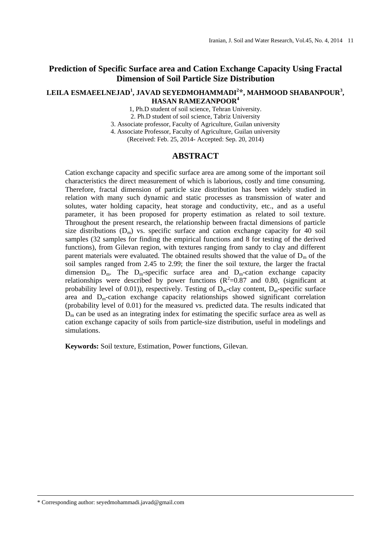## **Prediction of Specific Surface area and Cation Exchange Capacity Using Fractal Dimension of Soil Particle Size Distribution**

#### **LEILA ESMAEELNEJAD<sup>1</sup> , JAVAD SEYEDMOHAMMADI<sup>2</sup> \*, MAHMOOD SHABANPOUR<sup>3</sup> , HASAN RAMEZANPOOR<sup>4</sup>**

1, Ph.D student of soil science, Tehran University.

2. Ph.D student of soil science, Tabriz University

3. Associate professor, Faculty of Agriculture, Guilan university

4. Associate Professor, Faculty of Agriculture, Guilan university

(Received: Feb. 25, 2014- Accepted: Sep. 20, 2014)

#### **ABSTRACT**

Cation exchange capacity and specific surface area are among some of the important soil characteristics the direct measurement of which is laborious, costly and time consuming. Therefore, fractal dimension of particle size distribution has been widely studied in relation with many such dynamic and static processes as transmission of water and solutes, water holding capacity, heat storage and conductivity, etc., and as a useful parameter, it has been proposed for property estimation as related to soil texture. Throughout the present research, the relationship between fractal dimensions of particle size distributions  $(D_m)$  vs. specific surface and cation exchange capacity for 40 soil samples (32 samples for finding the empirical functions and 8 for testing of the derived functions), from Gilevan region, with textures ranging from sandy to clay and different parent materials were evaluated. The obtained results showed that the value of  $D_m$  of the soil samples ranged from 2.45 to 2.99; the finer the soil texture, the larger the fractal dimension  $D_m$ . The  $D_m$ -specific surface area and  $D_m$ -cation exchange capacity relationships were described by power functions  $(R^2=0.87$  and 0.80, (significant at probability level of 0.01)), respectively. Testing of  $D_m$ -clay content,  $D_m$ -specific surface area and  $D<sub>m</sub>$ -cation exchange capacity relationships showed significant correlation (probability level of 0.01) for the measured vs. predicted data. The results indicated that  $D<sub>m</sub>$  can be used as an integrating index for estimating the specific surface area as well as cation exchange capacity of soils from particle-size distribution, useful in modelings and simulations.

**Keywords:** Soil texture, Estimation, Power functions, Gilevan.

\* Corresponding author: seyedmohammadi.javad@gmail.com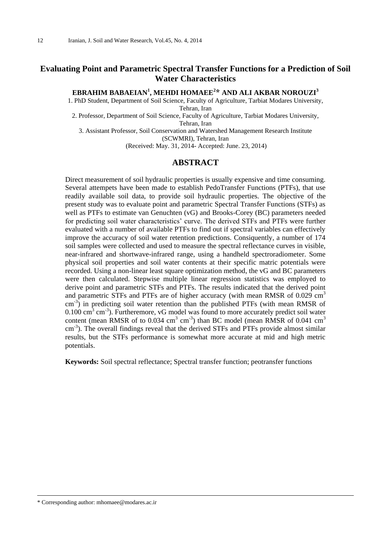## **Evaluating Point and Parametric Spectral Transfer Functions for a Prediction of Soil Water Characteristics**

#### **EBRAHIM BABAEIAN<sup>1</sup> , MEHDI HOMAEE<sup>2</sup> \* AND ALI AKBAR NOROUZI<sup>3</sup>**

1. PhD Student, Department of Soil Science, Faculty of Agriculture, Tarbiat Modares University, Tehran, Iran

2. Professor, Department of Soil Science, Faculty of Agriculture, Tarbiat Modares University, Tehran, Iran

3. Assistant Professor, Soil Conservation and Watershed Management Research Institute (SCWMRI), Tehran, Iran

(Received: May. 31, 2014- Accepted: June. 23, 2014)

### **ABSTRACT**

Direct measurement of soil hydraulic properties is usually expensive and time consuming. Several attempets have been made to establish PedoTransfer Functions (PTFs), that use readily available soil data, to provide soil hydraulic properties. The objective of the present study was to evaluate point and parametric Spectral Transfer Functions (STFs) as well as PTFs to estimate van Genuchten (vG) and Brooks-Corey (BC) parameters needed for predicting soil water characteristics' curve. The derived STFs and PTFs were further evaluated with a number of available PTFs to find out if spectral variables can effectively improve the accuracy of soil water retention predictions. Consiquently, a number of 174 soil samples were collected and used to measure the spectral reflectance curves in visible, near-infrared and shortwave-infrared range, using a handheld spectroradiometer. Some physical soil properties and soil water contents at their specific matric potentials were recorded. Using a non-linear least square optimization method, the vG and BC parameters were then calculated. Stepwise multiple linear regression statistics was employed to derive point and parametric STFs and PTFs. The results indicated that the derived point and parametric STFs and PTFs are of higher accuracy (with mean RMSR of 0.029 cm<sup>3</sup>  $\text{cm}^{-3}$ ) in predicting soil water retention than the published PTFs (with mean RMSR of  $0.100 \text{ cm}^3 \text{ cm}^{-3}$ ). Furtheremore, vG model was found to more accurately predict soil water content (mean RMSR of to 0.034 cm<sup>3</sup> cm<sup>-3</sup>) than BC model (mean RMSR of 0.041 cm<sup>3</sup> cm<sup>-3</sup>). The overall findings reveal that the derived STFs and PTFs provide almost similar results, but the STFs performance is somewhat more accurate at mid and high metric potentials.

**Keywords:** Soil spectral reflectance; Spectral transfer function; peotransfer functions

<sup>\*</sup> Corresponding author: mhomaee@modares.ac.ir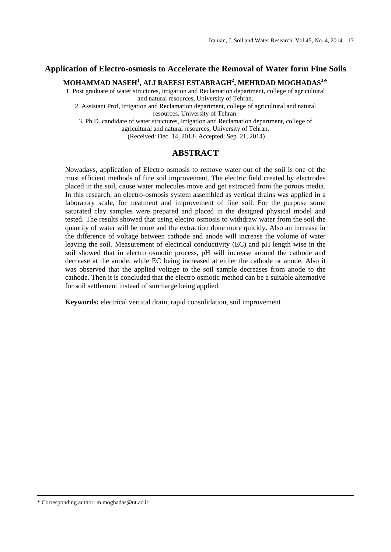### **Application of Electro-osmosis to Accelerate the Removal of Water form Fine Soils**

**MOHAMMAD NASEH<sup>1</sup> , ALI RAEESI ESTABRAGH<sup>2</sup> , MEHRDAD MOGHADAS<sup>3</sup> \***

1. Post graduate of water structures, Irrigation and Reclamation department, college of agricultural and natural resources, University of Tehran.

2. Assistant Prof, Irrigation and Reclamation department, college of agricultural and natural resources, University of Tehran.

3. Ph.D. candidate of water structures, Irrigation and Reclamation department, college of agricultural and natural resources, University of Tehran.

(Received: Dec. 14, 2013- Accepted: Sep. 21, 2014)

#### **ABSTRACT**

Nowadays, application of Electro osmosis to remove water out of the soil is one of the most efficient methods of fine soil improvement. The electric field created by electrodes placed in the soil, cause water molecules move and get extracted from the porous media. In this research, an electro-osmosis system assembled as vertical drains was applied in a laboratory scale, for treatment and improvement of fine soil. For the purpose some saturated clay samples were prepared and placed in the designed physical model and tested. The results showed that using electro osmosis to withdraw water from the soil the quantity of water will be more and the extraction done more quickly. Also an increase in the difference of voltage between cathode and anode will increase the volume of water leaving the soil. Measurement of electrical conductivity (EC) and pH length wise in the soil showed that in electro osmotic process, pH will increase around the cathode and decrease at the anode. while EC being increased at either the cathode or anode. Also it was observed that the applied voltage to the soil sample decreases from anode to the cathode. Then it is concluded that the electro osmotic method can be a suitable alternative for soil settlement instead of surcharge being applied.

**Keywords:** electrical vertical drain, rapid consolidation, soil improvement

\* Corresponding author: m.moghadas@ut.ac.ir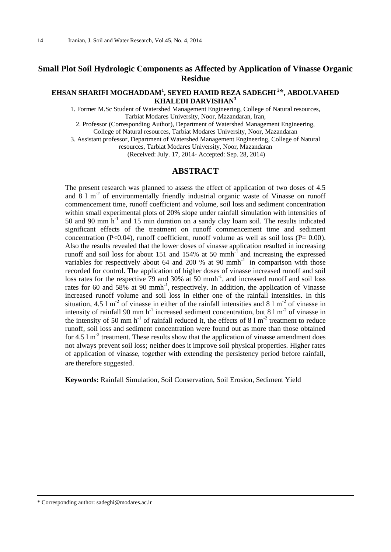## **Small Plot Soil Hydrologic Components as Affected by Application of Vinasse Organic Residue**

#### **EHSAN SHARIFI MOGHADDAM<sup>1</sup> , SEYED HAMID REZA SADEGHI <sup>2</sup> \*, ABDOLVAHED KHALEDI DARVISHAN<sup>3</sup>**

1. Former M.Sc Student of Watershed Management Engineering, College of Natural resources, Tarbiat Modares University, Noor, Mazandaran, Iran,

2. Professor (Corresponding Author), Department of Watershed Management Engineering,

College of Natural resources, Tarbiat Modares University, Noor, Mazandaran

3. Assistant professor, Department of Watershed Management Engineering, College of Natural resources, Tarbiat Modares University, Noor, Mazandaran

(Received: July. 17, 2014- Accepted: Sep. 28, 2014)

#### **ABSTRACT**

The present research was planned to assess the effect of application of two doses of 4.5 and  $81 \text{ m}^2$  of environmentally friendly industrial organic waste of Vinasse on runoff commencement time, runoff coefficient and volume, soil loss and sediment concentration within small experimental plots of 20% slope under rainfall simulation with intensities of 50 and 90 mm  $h^{-1}$  and 15 min duration on a sandy clay loam soil. The results indicated significant effects of the treatment on runoff commencement time and sediment concentration (P<0.04), runoff coefficient, runoff volume as well as soil loss (P=  $0.00$ ). Also the results revealed that the lower doses of vinasse application resulted in increasing runoff and soil loss for about 151 and 154% at 50 mmh $^{-1}$  and increasing the expressed variables for respectively about 64 and 200 % at 90 mmh<sup>-1</sup> in comparison with those recorded for control. The application of higher doses of vinasse increased runoff and soil loss rates for the respective  $\frac{79}{9}$  and  $\frac{30\%}{30}$  at 50 mmh<sup>-1</sup>, and increased runoff and soil loss rates for 60 and 58% at 90 mmh<sup>-1</sup>, respectively. In addition, the application of Vinasse increased runoff volume and soil loss in either one of the rainfall intensities. In this situation, 4.5  $1 \text{ m}^2$  of vinasse in either of the rainfall intensities and 8  $1 \text{ m}^2$  of vinasse in intensity of rainfall 90 mm  $h^{-1}$  increased sediment concentration, but 8 l m<sup>-2</sup> of vinasse in the intensity of 50 mm  $h^{-1}$  of rainfall reduced it, the effects of 8 l m<sup>-2</sup> treatment to reduce runoff, soil loss and sediment concentration were found out as more than those obtained for  $4.5 \, \text{I m}^2$  treatment. These results show that the application of vinasse amendment does not always prevent soil loss; neither does it improve soil physical properties. Higher rates of application of vinasse, together with extending the persistency period before rainfall, are therefore suggested.

**Keywords:** Rainfall Simulation, Soil Conservation, Soil Erosion, Sediment Yield